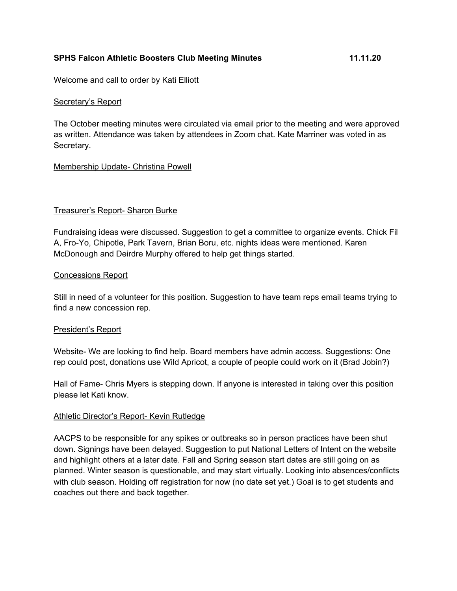## **SPHS Falcon Athletic Boosters Club Meeting Minutes 11.11.20**

Welcome and call to order by Kati Elliott

### Secretary's Report

The October meeting minutes were circulated via email prior to the meeting and were approved as written. Attendance was taken by attendees in Zoom chat. Kate Marriner was voted in as Secretary.

## Membership Update- Christina Powell

## Treasurer's Report- Sharon Burke

Fundraising ideas were discussed. Suggestion to get a committee to organize events. Chick Fil A, Fro-Yo, Chipotle, Park Tavern, Brian Boru, etc. nights ideas were mentioned. Karen McDonough and Deirdre Murphy offered to help get things started.

#### Concessions Report

Still in need of a volunteer for this position. Suggestion to have team reps email teams trying to find a new concession rep.

#### President's Report

Website- We are looking to find help. Board members have admin access. Suggestions: One rep could post, donations use Wild Apricot, a couple of people could work on it (Brad Jobin?)

Hall of Fame- Chris Myers is stepping down. If anyone is interested in taking over this position please let Kati know.

## Athletic Director's Report- Kevin Rutledge

AACPS to be responsible for any spikes or outbreaks so in person practices have been shut down. Signings have been delayed. Suggestion to put National Letters of Intent on the website and highlight others at a later date. Fall and Spring season start dates are still going on as planned. Winter season is questionable, and may start virtually. Looking into absences/conflicts with club season. Holding off registration for now (no date set yet.) Goal is to get students and coaches out there and back together.